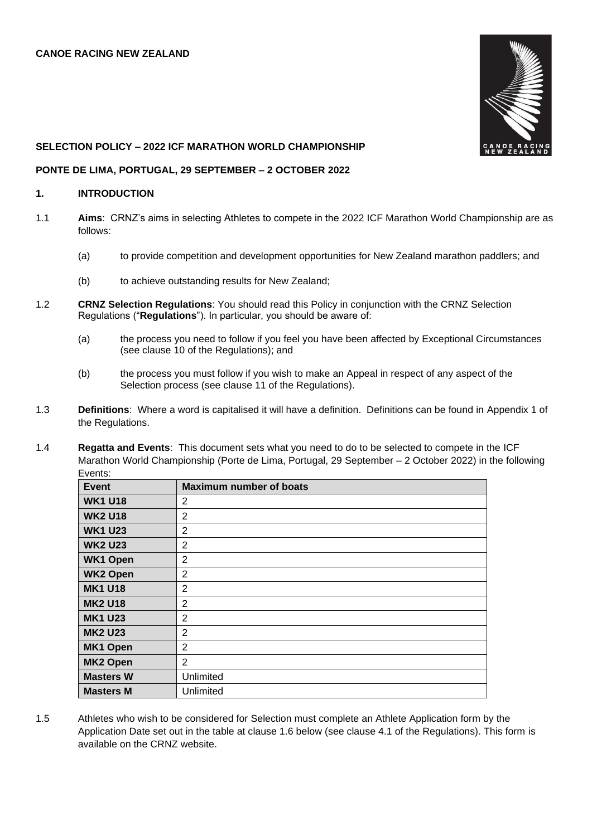

### **SELECTION POLICY – 2022 ICF MARATHON WORLD CHAMPIONSHIP**

### **PONTE DE LIMA, PORTUGAL, 29 SEPTEMBER – 2 OCTOBER 2022**

## **1. INTRODUCTION**

- 1.1 **Aims**: CRNZ's aims in selecting Athletes to compete in the 2022 ICF Marathon World Championship are as follows:
	- (a) to provide competition and development opportunities for New Zealand marathon paddlers; and
	- (b) to achieve outstanding results for New Zealand;
- 1.2 **CRNZ Selection Regulations**: You should read this Policy in conjunction with the CRNZ Selection Regulations ("**Regulations**"). In particular, you should be aware of:
	- (a) the process you need to follow if you feel you have been affected by Exceptional Circumstances (see clause 10 of the Regulations); and
	- (b) the process you must follow if you wish to make an Appeal in respect of any aspect of the Selection process (see clause 11 of the Regulations).
- 1.3 **Definitions**: Where a word is capitalised it will have a definition. Definitions can be found in Appendix 1 of the Regulations.
- 1.4 **Regatta and Events**: This document sets what you need to do to be selected to compete in the ICF Marathon World Championship (Porte de Lima, Portugal, 29 September – 2 October 2022) in the following Events:

| <b>Event</b>     | <b>Maximum number of boats</b> |
|------------------|--------------------------------|
| <b>WK1 U18</b>   | 2                              |
| <b>WK2 U18</b>   | $\overline{2}$                 |
| <b>WK1 U23</b>   | 2                              |
| <b>WK2 U23</b>   | $\overline{2}$                 |
| <b>WK1 Open</b>  | 2                              |
| <b>WK2 Open</b>  | $\overline{2}$                 |
| <b>MK1 U18</b>   | 2                              |
| <b>MK2 U18</b>   | 2                              |
| <b>MK1 U23</b>   | $\overline{2}$                 |
| <b>MK2 U23</b>   | 2                              |
| <b>MK1 Open</b>  | 2                              |
| <b>MK2 Open</b>  | 2                              |
| <b>Masters W</b> | Unlimited                      |
| <b>Masters M</b> | Unlimited                      |

1.5 Athletes who wish to be considered for Selection must complete an Athlete Application form by the Application Date set out in the table at clause 1.6 below (see clause 4.1 of the Regulations). This form is available on the CRNZ website.